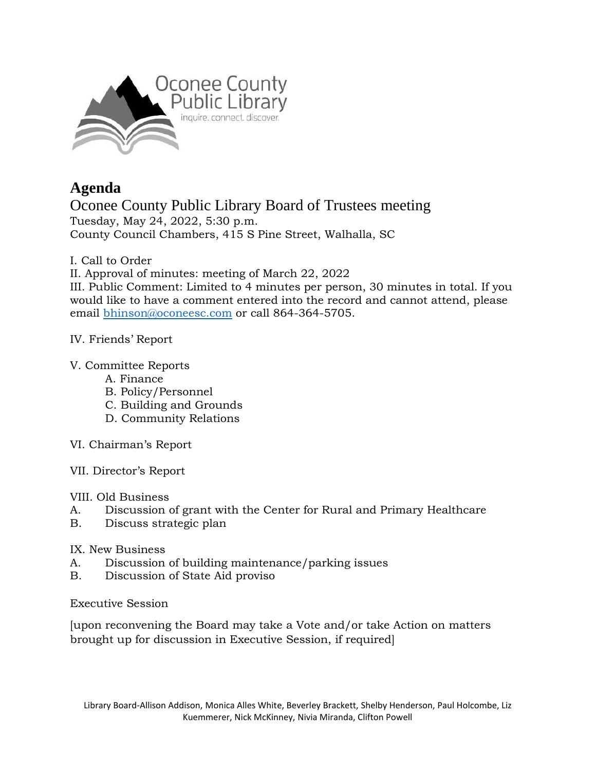

## **Agenda**

Oconee County Public Library Board of Trustees meeting Tuesday, May 24, 2022, 5:30 p.m. County Council Chambers, 415 S Pine Street, Walhalla, SC

I. Call to Order

II. Approval of minutes: meeting of March 22, 2022

III. Public Comment: Limited to 4 minutes per person, 30 minutes in total. If you would like to have a comment entered into the record and cannot attend, please email [bhinson@oconeesc.com](mailto:bhinson@oconeesc.com) or call 864-364-5705.

## IV. Friends' Report

## V. Committee Reports

- A. Finance
- B. Policy/Personnel
- C. Building and Grounds
- D. Community Relations
- VI. Chairman's Report
- VII. Director's Report
- VIII. Old Business
- A. Discussion of grant with the Center for Rural and Primary Healthcare
- B. Discuss strategic plan

## IX. New Business

- A. Discussion of building maintenance/parking issues
- B. Discussion of State Aid proviso

Executive Session

[upon reconvening the Board may take a Vote and/or take Action on matters brought up for discussion in Executive Session, if required]